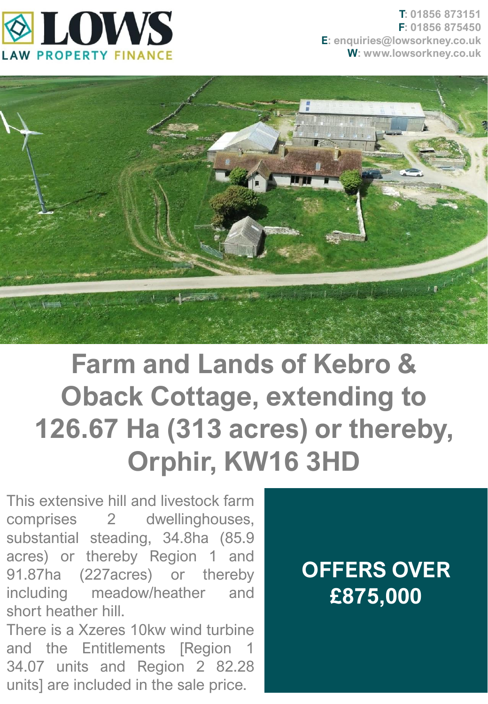

**T: 01856 873151 F: 01856 875450 E: enquiries@lowsorkney.co.uk W: www.lowsorkney.co.uk**



## **Farm and Lands of Kebro & Oback Cottage, extending to 126.67 Ha (313 acres) or thereby, Orphir, KW16 3HD**

This extensive hill and livestock farm comprises 2 dwellinghouses, substantial steading, 34.8ha (85.9 acres) or thereby Region 1 and 91.87ha (227acres) or thereby including meadow/heather and short heather hill.

There is a Xzeres 10kw wind turbine and the Entitlements [Region 1 34.07 units and Region 2 82.28 units] are included in the sale price.

## **OFFERS OVER £875,000**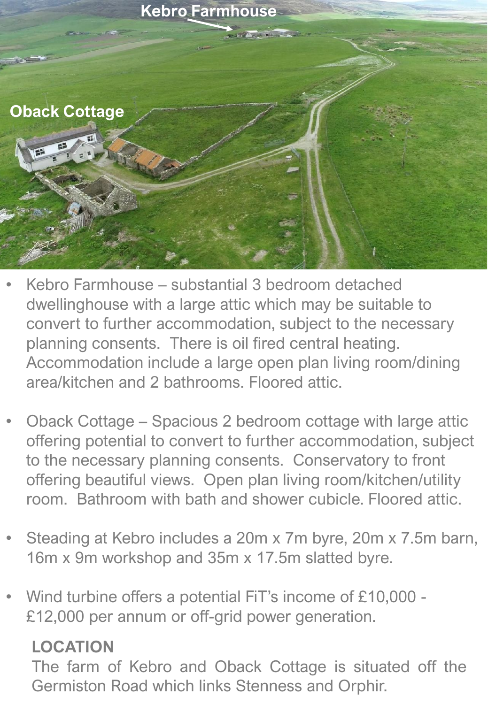

- Kebro Farmhouse substantial 3 bedroom detached dwellinghouse with a large attic which may be suitable to convert to further accommodation, subject to the necessary planning consents. There is oil fired central heating. Accommodation include a large open plan living room/dining area/kitchen and 2 bathrooms. Floored attic.
- Oback Cottage Spacious 2 bedroom cottage with large attic offering potential to convert to further accommodation, subject to the necessary planning consents. Conservatory to front offering beautiful views. Open plan living room/kitchen/utility room. Bathroom with bath and shower cubicle. Floored attic.
- Steading at Kebro includes a 20m x 7m byre, 20m x 7.5m barn, 16m x 9m workshop and 35m x 17.5m slatted byre.
- Wind turbine offers a potential FiT's income of £10,000 £12,000 per annum or off-grid power generation.

## **LOCATION**

The farm of Kebro and Oback Cottage is situated off the Germiston Road which links Stenness and Orphir.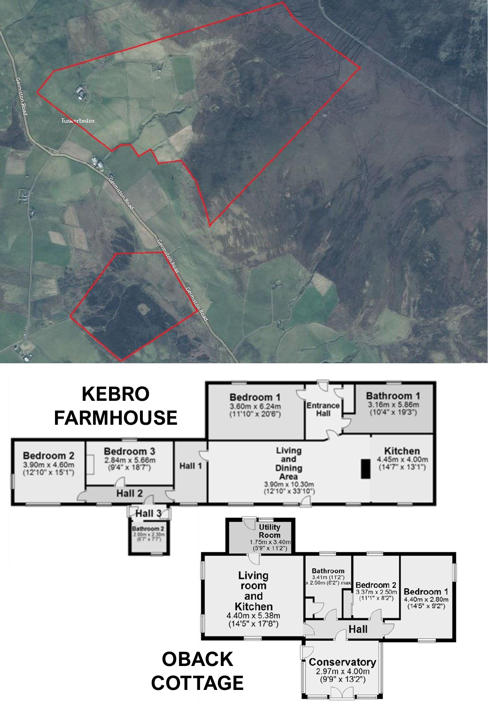